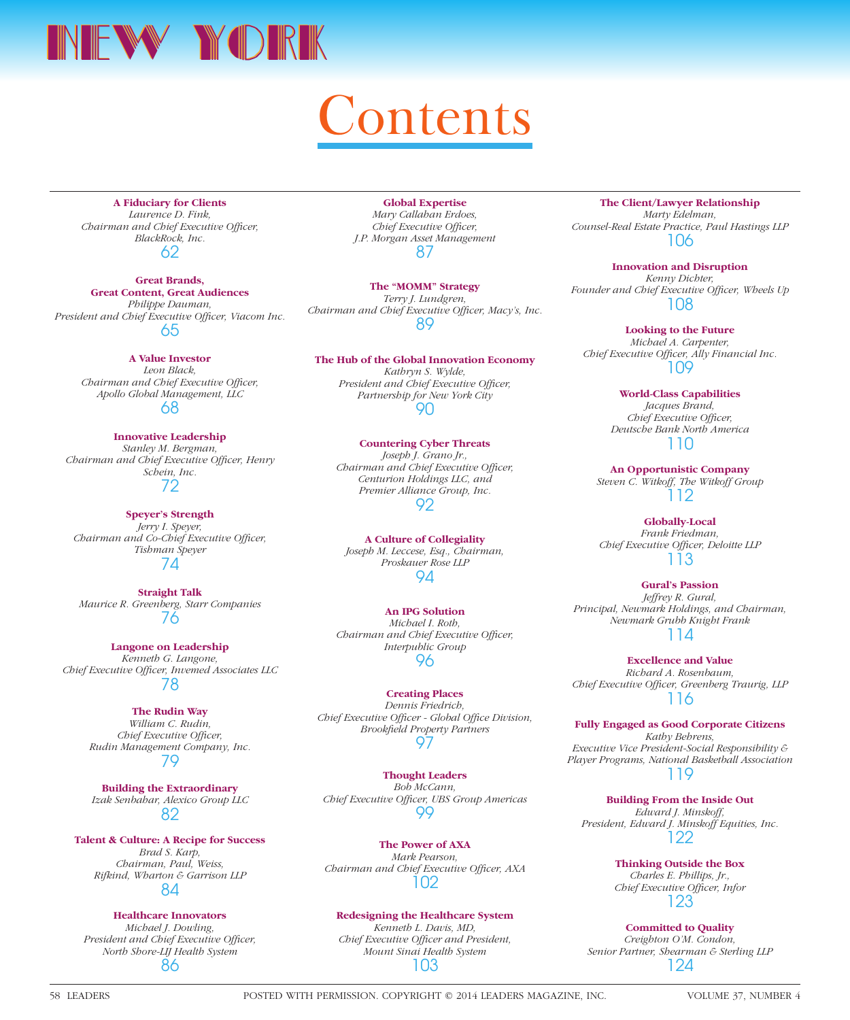

## ontents

**A Fiduciary for Clients** *Laurence D. Fink, Chairman and Chief Executive Officer, BlackRock, Inc.* 62

**Great Brands, Great Content, Great Audiences** *Philippe Dauman,*  President and Chief Executive Officer, Viacom Inc. 65

> **A Value Investor** *Leon Black, Chairman and Chief Executive Officer, Apollo Global Management, LLC* 68

**Innovative Leadership** *Stanley M. Bergman, Chairman and Chief Executive Officer, Henry Schein, Inc.* 72

**Speyer's Strength** *Jerry I. Speyer, Chairman and Co-Chief Executive Officer, Tishman Speyer* 74

**Straight Talk** *Maurice R. Greenberg, Starr Companies* 76

**Langone on Leadership** *Kenneth G. Langone,*  **Chief Executive Officer, Invemed Associates LLC** 78

> **The Rudin Way** *William C. Rudin, Chief Executive Officer, Rudin Management Company, Inc.* 79

> **Building the Extraordinary** *Izak Senbahar, Alexico Group LLC* 82

**Talent & Culture: A Recipe for Success** *Brad S. Karp, Chairman, Paul, Weiss, Rifkind, Wharton & Garrison LLP* 84

> **Healthcare Innovators** *Michael J. Dowling,*

*President and Chief Executive Officer, North Shore-LIJ Health System* 86

**Global Expertise** *Mary Callahan Erdoes, Chief Executive Officer, J.P. Morgan Asset Management* 87

**The "MOMM" Strategy** *Terry J. Lundgren, Chairman and Chief Executive Officer, Macy's, Inc.* 89

**The Hub of the Global Innovation Economy** *Kathryn S. Wylde, President and Chief Executive Officer, Partnership for New York City* 90

## **Countering Cyber Threats** *Joseph J. Grano Jr.,*

*Chairman and Chief Executive Officer, Centurion Holdings LLC, and Premier Alliance Group, Inc.* 92

 **A Culture of Collegiality** *Joseph M. Leccese, Esq., Chairman, Proskauer Rose LLP* 94

**An IPG Solution** *Michael I. Roth, Chairman and Chief Executive Officer, Interpublic Group* 96

**Creating Places** *Dennis Friedrich, Chief Executive Officer - Global Office Division, Brookfi eld Property Partners* 97

**Thought Leaders** *Bob McCann,*  **Chief Executive Officer, UBS Group Americas** 99

**The Power of AXA** *Mark Pearson, Chairman and Chief Executive Officer, AXA* 102

**Redesigning the Healthcare System**

*Kenneth L. Davis, MD, Chief Executive Officer and President, Mount Sinai Health System* 103

**The Client/Lawyer Relationship** *Marty Edelman, Counsel-Real Estate Practice, Paul Hastings LLP* 106

**Innovation and Disruption** *Kenny Dichter,*  Founder and Chief Executive Officer, Wheels Up 108

**Looking to the Future** *Michael A. Carpenter, Chief Executive Officer, Ally Financial Inc.* 109

> **World-Class Capabilities** *Jacques Brand, Chief Executive Officer, Deutsche Bank North America* 110

**An Opportunistic Company** *Steven C. Witkoff, The Witkoff Group* 112

**Globally-Local** *Frank Friedman, Chief Executive Officer, Deloitte LLP* 113

**Gural's Passion** *Jeffrey R. Gural, Principal, Newmark Holdings, and Chairman, Newmark Grubb Knight Frank* 114

**Excellence and Value** *Richard A. Rosenbaum,*  Chief Executive Officer, Greenberg Traurig, LLP 116

**Fully Engaged as Good Corporate Citizens** *Kathy Behrens, Executive Vice President-Social Responsibility & Player Programs, National Basketball Association* 119

**Building From the Inside Out** *Edward J. Minskoff, President, Edward J. Minskoff Equities, Inc.* 122

> **Thinking Outside the Box** *Charles E. Phillips, Jr., Chief Executive Officer, Infor* 123

**Committed to Quality** *Creighton O'M. Condon, Senior Partner, Shearman & Sterling LLP* 124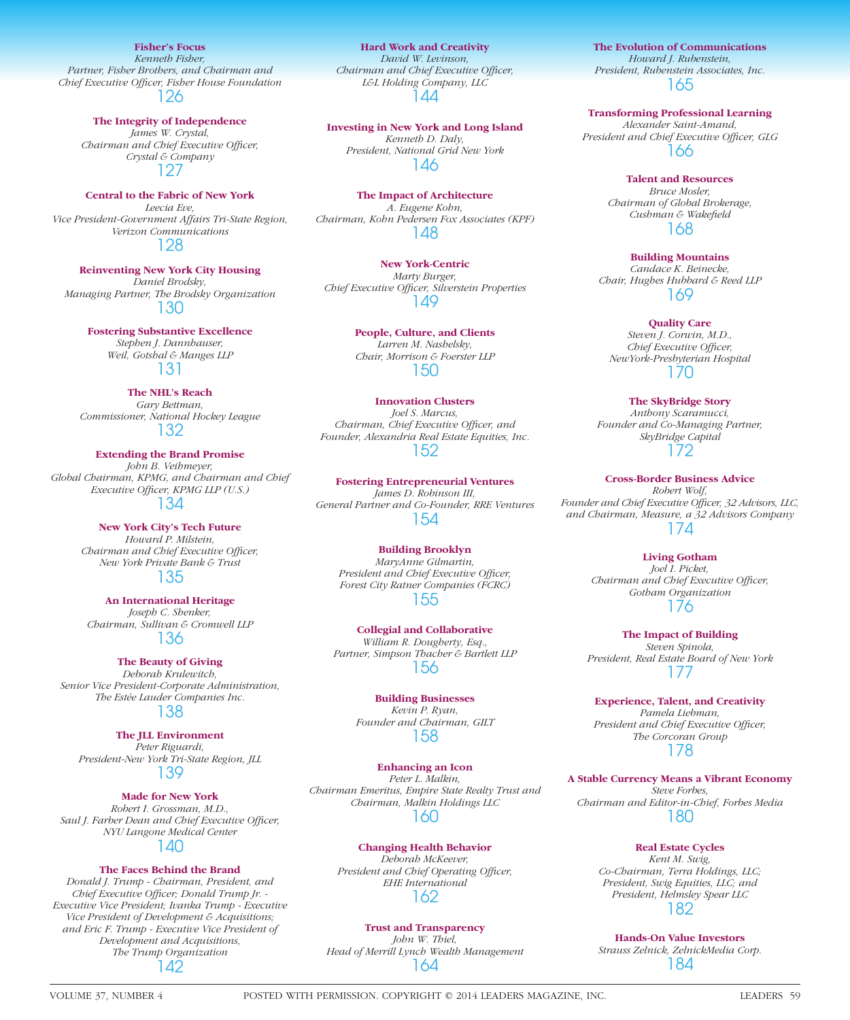**NEW YORK NEW YORK NEW YORK NEW YORK NEW YORK NEW YORK NEW YORK NEW YORK NEW YORK NEW YORK NEW YORK NEW YORK NEW YORK NEW YORK NEW YORK NEW YORK NEW YORK NEW YORK NEW YORK NEW YORK NEW YORK NEW YORK NEW YORK NEW YORK NEW Y** *Kenneth Fisher, Partner, Fisher Brothers, and Chairman and Chief Executive Offi cer, Fisher House Foundation* 126

**The Integrity of Independence**

*James W. Crystal, Chairman and Chief Executive Officer, Crystal & Company* 127

**Central to the Fabric of New York** *Leecia Eve, Vice President-Government Affairs Tri-State Region, Verizon Communications* 128

**Reinventing New York City Housing** *Daniel Brodsky, Managing Partner, The Brodsky Organization* 130

> **Fostering Substantive Excellence** *Stephen J. Dannhauser, Weil, Gotshal & Manges LLP* 131

**The NHL's Reach** *Gary Bettman, Commissioner, National Hockey League* 132

**Extending the Brand Promise** *John B. Veihmeyer, Global Chairman, KPMG, and Chairman and Chief Executive Officer, KPMG LLP (U.S.)* 134

> **New York City's Tech Future** *Howard P. Milstein, Chairman and Chief Executive Officer, New York Private Bank & Trust* 135

**An International Heritage** *Joseph C. Shenker, Chairman, Sullivan & Cromwell LLP* 136

**The Beauty of Giving** *Deborah Krulewitch, Senior Vice President-Corporate Administration, The Estée Lauder Companies Inc.*

138

**The JLL Environment** *Peter Riguardi, President-New York Tri-State Region, JLL* 139

**Made for New York** *Robert I. Grossman, M.D.,*  Saul J. Farber Dean and Chief Executive Officer, *NYU Langone Medical Center* 140

**The Faces Behind the Brand**

*Donald J. Trump - Chairman, President, and*  Chief Executive Officer; Donald Trump Jr. -*Executive Vice President; Ivanka Trump - Executive Vice President of Development & Acquisitions; and Eric F. Trump - Executive Vice President of Development and Acquisitions, The Trump Organization* 142

**Hard Work and Creativity** *David W. Levinson, Chairman and Chief Executive Officer, L&L Holding Company, LLC* 144

**Investing in New York and Long Island** *Kenneth D. Daly, President, National Grid New York* 146

**The Impact of Architecture** *A. Eugene Kohn, Chairman, Kohn Pedersen Fox Associates (KPF)* 148

**New York-Centric** *Marty Burger, Chief Executive Offi cer, Silverstein Properties* 149

> **People, Culture, and Clients** *Larren M. Nashelsky, Chair, Morrison & Foerster LLP* 150

**Innovation Clusters** *Joel S. Marcus, Chairman, Chief Executive Officer, and Founder, Alexandria Real Estate Equities, Inc.* 152

**Fostering Entrepreneurial Ventures** *James D. Robinson III, General Partner and Co-Founder, RRE Ventures* 154

**Building Brooklyn** *MaryAnne Gilmartin, President and Chief Executive Officer, Forest City Ratner Companies (FCRC)* 155

**Collegial and Collaborative** *William R. Dougherty, Esq., Partner, Simpson Thacher & Bartlett LLP* 156

> **Building Businesses** *Kevin P. Ryan, Founder and Chairman, GILT* 158

**Enhancing an Icon** *Peter L. Malkin, Chairman Emeritus, Empire State Realty Trust and Chairman, Malkin Holdings LLC* 160

> **Changing Health Behavior** *Deborah McKeever,*  **President and Chief Operating Officer,** *EHE International* 162

> > **Trust and Transparency**

*John W. Thiel, Head of Merrill Lynch Wealth Management* 164

**The Evolution of Communications** *Howard J. Rubenstein, President, Rubenstein Associates, Inc.* 165

**Transforming Professional Learning** *Alexander Saint-Amand,*  President and Chief Executive Officer, GLG 166

> **Talent and Resources** *Bruce Mosler, Chairman of Global Brokerage,*   $C$ ushman & Wakefield 168

**Building Mountains** *Candace K. Beinecke, Chair, Hughes Hubbard & Reed LLP* 169

**Quality Care** *Steven J. Corwin, M.D., Chief Executive Officer, NewYork-Presbyterian Hospital* 170

**The SkyBridge Story** *Anthony Scaramucci, Founder and Co-Managing Partner, SkyBridge Capital* 172

**Cross-Border Business Advice** *Robert Wolf,*  Founder and Chief Executive Officer, 32 Advisors, LLC, *and Chairman, Measure, a 32 Advisors Company* 174

**Living Gotham** *Joel I. Picket, Chairman and Chief Executive Officer, Gotham Organization* 176

**The Impact of Building** *Steven Spinola, President, Real Estate Board of New York* 177

**Experience, Talent, and Creativity** *Pamela Liebman,*  President and Chief Executive Officer, *The Corcoran Group* 178

**A Stable Currency Means a Vibrant Economy** *Steve Forbes, Chairman and Editor-in-Chief, Forbes Media* 180

> **Real Estate Cycles** *Kent M. Swig, Co-Chairman, Terra Holdings, LLC; President, Swig Equities, LLC; and President, Helmsley Spear LLC* 182

> **Hands-On Value Investors** *Strauss Zelnick, ZelnickMedia Corp.* 184